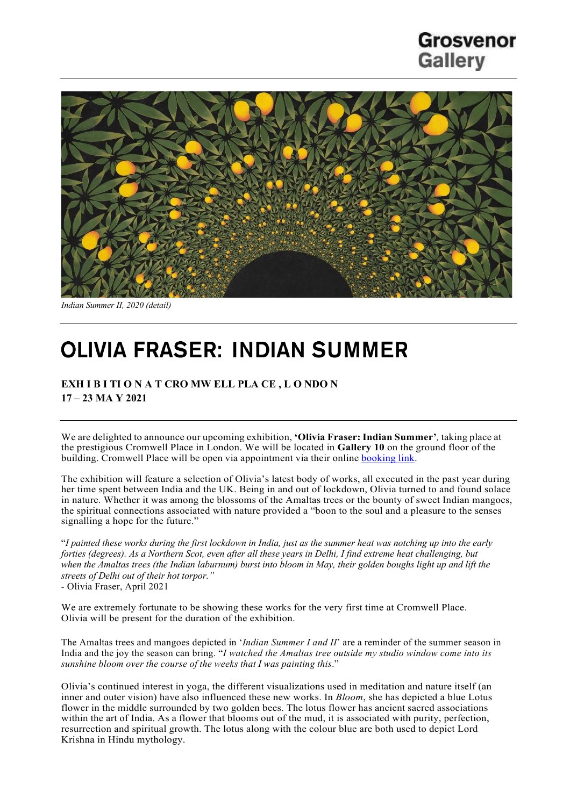## Grosvenor **Gallery**



*Indian Summer II, 2020 (detail)*

# **OLIVIA FRASER: INDIAN SUMMER**

**EXH I B I TI O N A T CRO MW ELL PLA CE , L O NDO N 17 – 23 MA Y 2021**

We are delighted to announce our upcoming exhibition, **'Olivia Fraser: Indian Summer'***,* taking place at the prestigious Cromwell Place in London. We will be located in **Gallery 10** on the ground floor of the building. Cromwell Place will be open via appointment via their online **booking link**.

The exhibition will feature a selection of Olivia's latest body of works, all executed in the past year during her time spent between India and the UK. Being in and out of lockdown, Olivia turned to and found solace in nature. Whether it was among the blossoms of the Amaltas trees or the bounty of sweet Indian mangoes, the spiritual connections associated with nature provided a "boon to the soul and a pleasure to the senses signalling a hope for the future."

"*I painted these works during the first lockdown in India, just as the summer heat was notching up into the early forties (degrees). As a Northern Scot, even after all these years in Delhi, I find extreme heat challenging, but when the Amaltas trees (the Indian laburnum) burst into bloom in May, their golden boughs light up and lift the streets of Delhi out of their hot torpor." -* Olivia Fraser, April 2021

We are extremely fortunate to be showing these works for the very first time at Cromwell Place. Olivia will be present for the duration of the exhibition.

The Amaltas trees and mangoes depicted in '*Indian Summer I and II*' are a reminder of the summer season in India and the joy the season can bring. "*I watched the Amaltas tree outside my studio window come into its sunshine bloom over the course of the weeks that I was painting this*."

Olivia's continued interest in yoga, the different visualizations used in meditation and nature itself (an inner and outer vision) have also influenced these new works. In *Bloom*, she has depicted a blue Lotus flower in the middle surrounded by two golden bees. The lotus flower has ancient sacred associations within the art of India. As a flower that blooms out of the mud, it is associated with purity, perfection, resurrection and spiritual growth. The lotus along with the colour blue are both used to depict Lord Krishna in Hindu mythology.